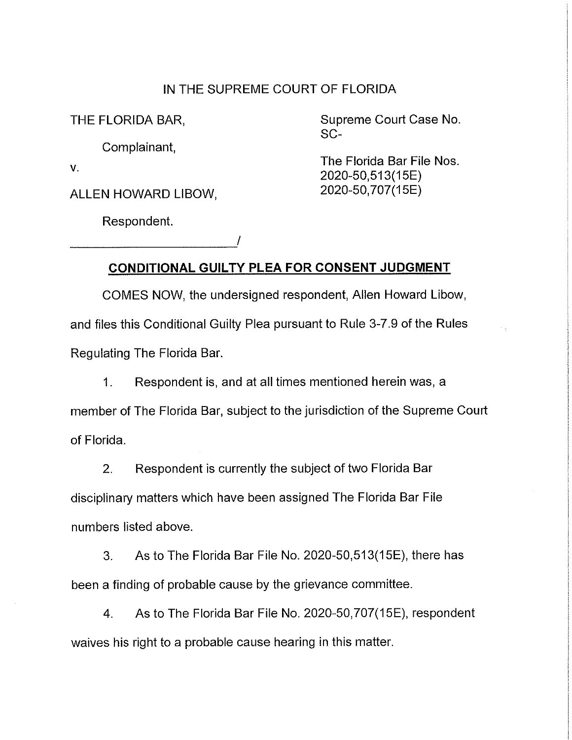## IN THE SUPREME COURT OF FLORIDA

Complainant,

ALLEN HOWARD LIBOW, 2020-50, 707(15E)

Respondent. Respondent.

THE FLORIDA BAR, Supreme Court Case No. SC-

v.<br>2020-50,513(15E) v.

 $\sim$   $_{\rm p}$ 

## **CONDITIONAL GUil TY PLEA FOR CONSENT JUDGMENT**

COMES NOW, the undersigned respondent, Allen Howard Libow, and files this Conditional Guilty Plea pursuant to Rule 3-7 .9 of the Rules Regulating The Florida Bar.

1. Respondent is, and at all times mentioned herein was, a member of The Florida Bar, subject to the jurisdiction of the Supreme Court of Florida.

2. Respondent is currently the subject of two Florida Bar disciplinary matters which have been assigned The Florida Bar File numbers listed above.

3. As to The Florida Bar File No. 2020-50,513(15E), there has been a finding of probable cause by the grievance committee.

4. As to The Florida Bar File No. 2020-50, 707(15E), respondent waives his right to a probable cause hearing in this matter.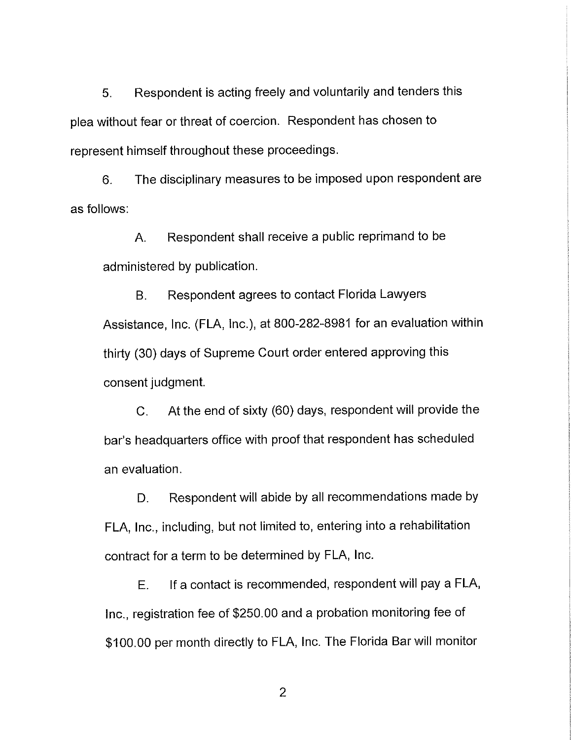5. Respondent is acting freely and voluntarily and tenders this plea without fear or threat of coercion. Respondent has chosen to represent himself throughout these proceedings.

6. The disciplinary measures to be imposed upon respondent are as follows:

A. Respondent shall receive a public reprimand to be administered by publication.

B. Respondent agrees to contact Florida Lawyers Assistance, Inc. (FLA, Inc.), at 800-282-8981 for an evaluation within thirty (30) days of Supreme Court order entered approving this consent judgment.

C. At the end of sixty (60) days, respondent will provide the bar's headquarters office with proof that respondent has scheduled an evaluation.

D. Respondent will abide by all recommendations made by FLA, Inc., including, but not limited to, entering into a rehabilitation contract for a term to be determined by FLA, Inc.

E. If a contact is recommended, respondent will pay a FLA, Inc., registration fee of \$250.00 and a probation monitoring fee of \$100.00 per month directly to FLA, Inc. The Florida Bar will monitor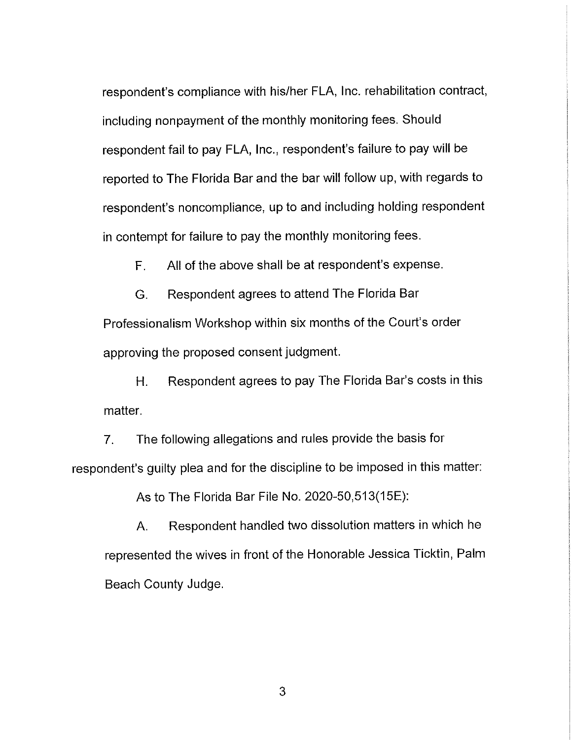respondent's compliance with his/her FLA, Inc. rehabilitation contract, including nonpayment of the monthly monitoring fees. Should respondent fail to pay FLA, Inc., respondent's failure to pay will be reported to The Florida Bar and the bar will follow up, with regards to respondent's noncompliance, up to and including holding respondent in contempt for failure to pay the monthly monitoring fees.

F. All of the above shall be at respondent's expense.

G. Respondent agrees to attend The Florida Bar

Professionalism Workshop within six months of the Court's order approving the proposed consent judgment.

H. Respondent agrees to pay The Florida Bar's costs in this matter.

7. The following allegations and rules provide the basis for respondent's guilty plea and for the discipline to be imposed in this matter:

As to The Florida Bar File No. 2020-50,513(15E):

A. Respondent handled two dissolution matters in which he represented the wives in front of the Honorable Jessica Ticktin, Palm Beach County Judge.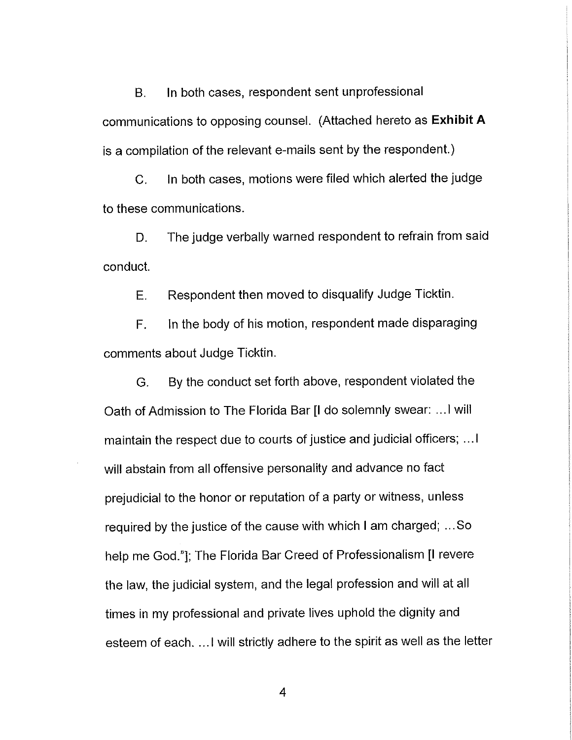B. In both cases, respondent sent unprofessional communications to opposing counsel. (Attached hereto as **Exhibit A**  is a compilation of the relevant e-mails sent by the respondent.)

C. In both cases, motions were filed which alerted the judge to these communications.

D. The judge verbally warned respondent to refrain from said conduct.

E. Respondent then moved to disqualify Judge Ticktin.

F. In the body of his motion, respondent made disparaging comments about Judge Ticktin.

G. By the conduct set forth above, respondent violated the Oath of Admission to The Florida Bar [I do solemnly swear: ... I will maintain the respect due to courts of justice and judicial officers; ... I will abstain from all offensive personality and advance no fact prejudicial to the honor or reputation of a party or witness, unless required by the justice of the cause with which I am charged; ... So help me God."]; The Florida Bar Creed of Professionalism [I revere the law, the judicial system, and the legal profession and will at all times in my professional and private lives uphold the dignity and esteem of each. ... I will strictly adhere to the spirit as well as the letter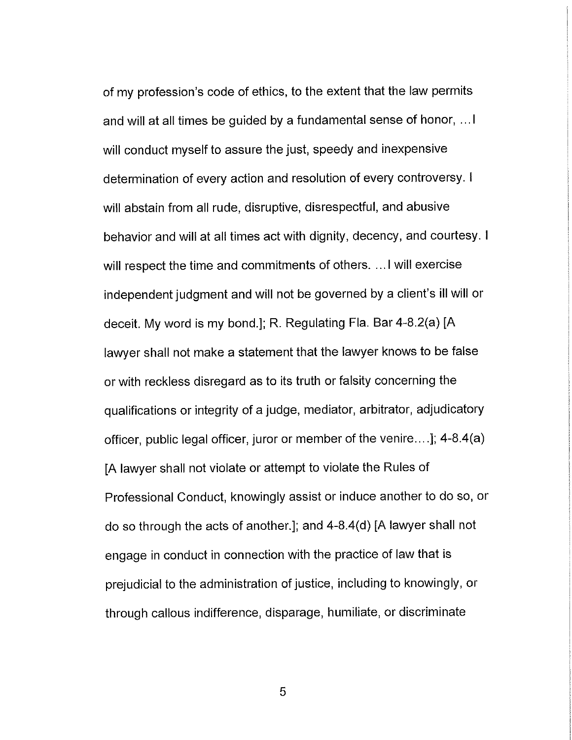of my profession's code of ethics, to the extent that the law permits and will at all times be guided by a fundamental sense of honor, ... I will conduct myself to assure the just, speedy and inexpensive determination of every action and resolution of every controversy. I will abstain from all rude, disruptive, disrespectful, and abusive behavior and will at all times act with dignity, decency, and courtesy. I will respect the time and commitments of others. ... I will exercise independent judgment and will not be governed by a client's ill will or deceit. My word is my bond.]; R. Regulating Fla. Bar 4-8.2(a) [A lawyer shall not make a statement that the lawyer knows to be false or with reckless disregard as to its truth or falsity concerning the qualifications or integrity of a judge, mediator, arbitrator, adjudicatory officer, public legal officer, juror or member of the venire .... ]; 4-8.4(a) [A lawyer shall not violate or attempt to violate the Rules of Professional Conduct, knowingly assist or induce another to do so, or do so through the acts of another.]; and 4-8.4(d) [A lawyer shall not engage in conduct in connection with the practice of law that is prejudicial to the administration of justice, including to knowingly, or through callous indifference, disparage, humiliate, or discriminate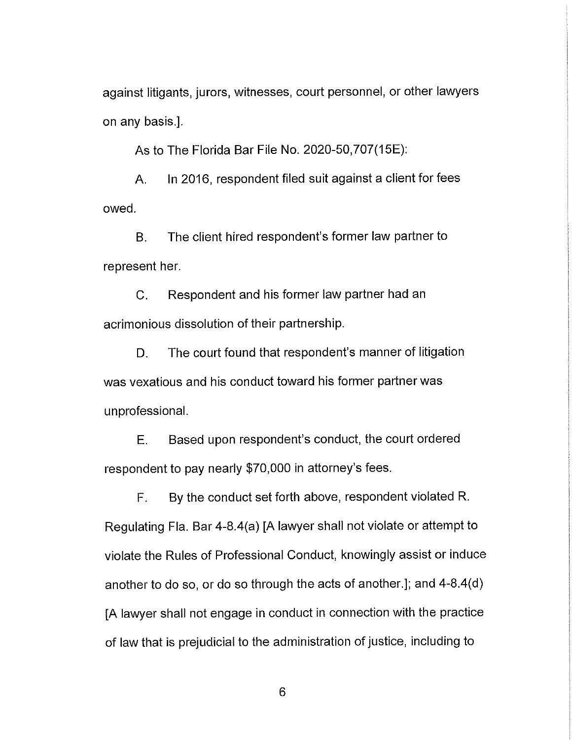against litigants, jurors, witnesses, court personnel, or other lawyers on any basis.].

As to The Florida Bar File No. 2020-50,707(15E):

A. In 2016, respondent filed suit against a client for fees owed.

B. The client hired respondent's former law partner to represent her.

C. Respondent and his former law partner had an acrimonious dissolution of their partnership.

D. The court found that respondent's manner of litigation was vexatious and his conduct toward his former partner was unprofessional.

E. Based upon respondent's conduct, the court ordered respondent to pay nearly \$70,000 in attorney's fees.

F. By the conduct set forth above, respondent violated R. Regulating Fla. Bar 4-8.4(a) [A lawyer shall not violate or attempt to violate the Rules of Professional Conduct, knowingly assist or induce another to do so, or do so through the acts of another.]; and 4-8.4(d) [A lawyer shall not engage in conduct in connection with the practice of law that is prejudicial to the administration of justice, including to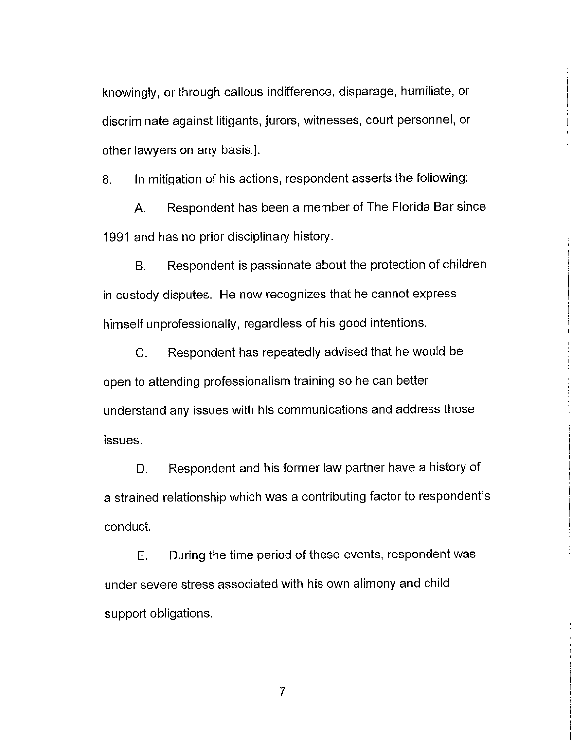knowingly, or through callous indifference, disparage, humiliate, or discriminate against litigants, jurors, witnesses, court personnel, or other lawyers on any basis.].

8. In mitigation of his actions, respondent asserts the following:

A. Respondent has been a member of The Florida Bar since 1991 and has no prior disciplinary history.

B. Respondent is passionate about the protection of children in custody disputes. He now recognizes that he cannot express himself unprofessionally, regardless of his good intentions.

C. Respondent has repeatedly advised that he would be open to attending professionalism training so he can better understand any issues with his communications and address those issues.

D. Respondent and his former law partner have a history of a strained relationship which was a contributing factor to respondent's conduct.

E. During the time period of these events, respondent was under severe stress associated with his own alimony and child support obligations.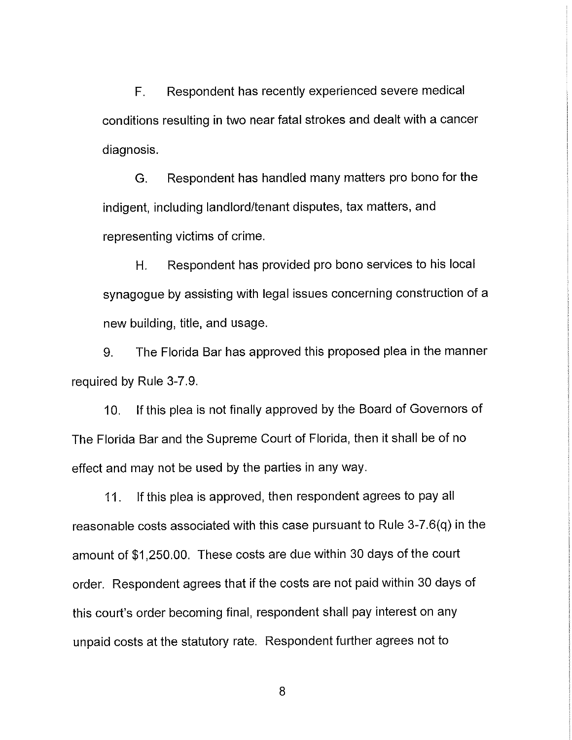F. Respondent has recently experienced severe medical conditions resulting in two near fatal strokes and dealt with a cancer diagnosis.

G. Respondent has handled many matters pro bono for the indigent, including landlord/tenant disputes, tax matters, and representing victims of crime.

H. Respondent has provided pro bono services to his local synagogue by assisting with legal issues concerning construction of a new building, title, and usage.

9. The Florida Bar has approved this proposed plea in the manner required by Rule 3-7.9.

10. If this plea is not finally approved by the Board of Governors of The Florida Bar and the Supreme Court of Florida, then it shall be of no effect and may not be used by the parties in any way.

11. If this plea is approved, then respondent agrees to pay all reasonable costs associated with this case pursuant to Rule 3-7.6(q) in the amount of \$1,250.00. These costs are due within 30 days of the court order. Respondent agrees that if the costs are not paid within 30 days of this court's order becoming final, respondent shall pay interest on any unpaid costs at the statutory rate. Respondent further agrees not to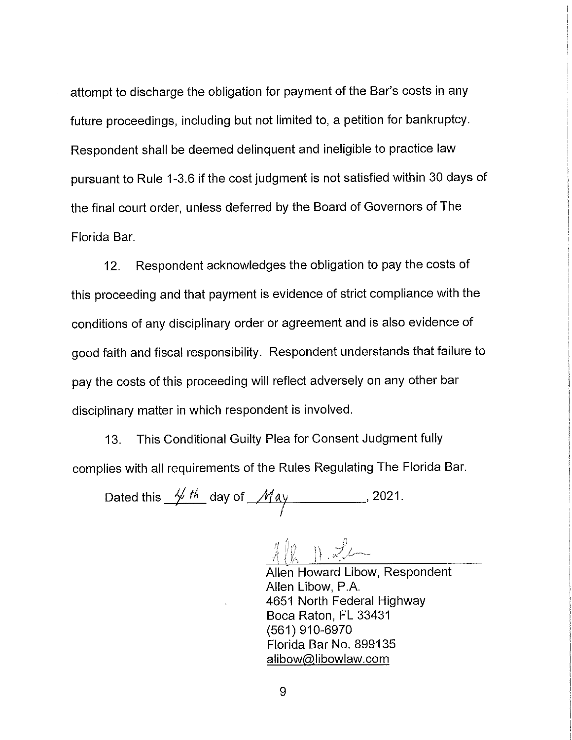attempt to discharge the obligation for payment of the Bar's costs in any future proceedings, including but not limited to, a petition for bankruptcy. Respondent shall be deemed delinquent and ineligible to practice law pursuant to Rule 1-3.6 if the cost judgment is not satisfied within 30 days of the final court order, unless deferred by the Board of Governors of The Florida Bar.

12. Respondent acknowledges the obligation to pay the costs of this proceeding and that payment is evidence of strict compliance with the conditions of any disciplinary order or agreement and is also evidence of good faith and fiscal responsibility. Respondent understands that failure to pay the costs of this proceeding will reflect adversely on any other bar disciplinary matter in which respondent is involved.

13. This Conditional Guilty Plea for Consent Judgment fully complies with all requirements of the Rules Regulating The Florida Bar.

Dated this  $\frac{1}{2}$  th. day of  $\frac{1}{2}$  day  $\frac{1}{2}$ . I

 $\frac{1}{2}$   $\frac{1}{2}$ 

Allen Howard Libow, Respondent Allen Libow, P.A. 4651 North Federal Highway Boca Raton, FL 33431 (561) 910-6970 Florida Bar No. 899135 alibow@libowlaw.com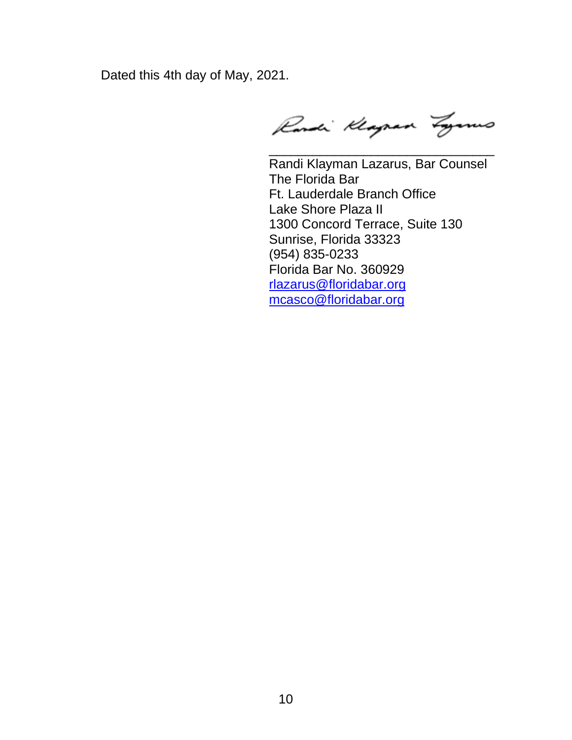Dated this 4th day of May, 2021.

Randi Klagran Zyanus

\_\_\_\_\_\_\_\_\_\_\_\_\_\_\_\_\_\_\_\_\_\_\_\_\_\_\_\_\_\_\_

 Lake Shore Plaza II 1300 Concord Terrace, Suite 130 Sunrise, Florida 33323 Randi Klayman Lazarus, Bar Counsel The Florida Bar Ft. Lauderdale Branch Office (954) 835-0233 Florida Bar No. 360929 rlazarus@floridabar.org mcasco@floridabar.org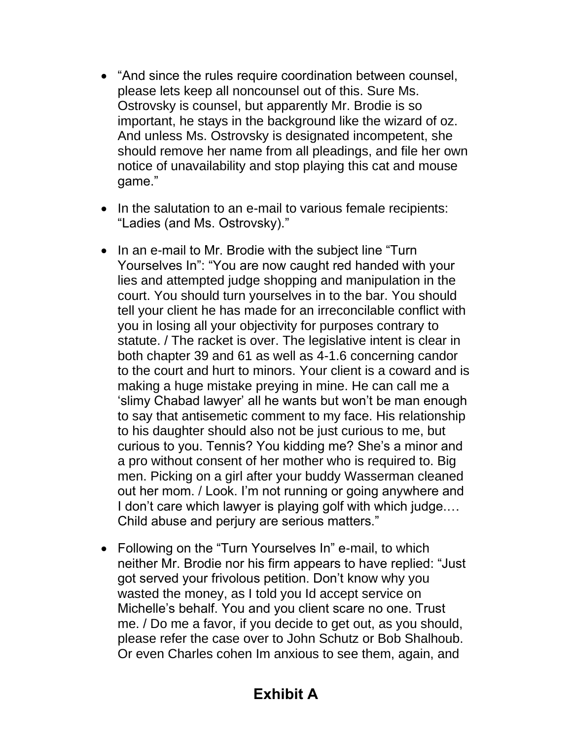- • "And since the rules require coordination between counsel, please lets keep all noncounsel out of this. Sure Ms. Ostrovsky is counsel, but apparently Mr. Brodie is so important, he stays in the background like the wizard of oz. And unless Ms. Ostrovsky is designated incompetent, she should remove her name from all pleadings, and file her own notice of unavailability and stop playing this cat and mouse game."
- • In the salutation to an e-mail to various female recipients: "Ladies (and Ms. Ostrovsky)."
- • In an e-mail to Mr. Brodie with the subject line "Turn Yourselves In": "You are now caught red handed with your lies and attempted judge shopping and manipulation in the court. You should turn yourselves in to the bar. You should tell your client he has made for an irreconcilable conflict with you in losing all your objectivity for purposes contrary to statute. / The racket is over. The legislative intent is clear in both chapter 39 and 61 as well as 4-1.6 concerning candor to the court and hurt to minors. Your client is a coward and is making a huge mistake preying in mine. He can call me a 'slimy Chabad lawyer' all he wants but won't be man enough to say that antisemetic comment to my face. His relationship to his daughter should also not be just curious to me, but curious to you. Tennis? You kidding me? She's a minor and a pro without consent of her mother who is required to. Big men. Picking on a girl after your buddy Wasserman cleaned out her mom. / Look. I'm not running or going anywhere and I don't care which lawyer is playing golf with which judge.… Child abuse and perjury are serious matters."
- • Following on the "Turn Yourselves In" e-mail, to which neither Mr. Brodie nor his firm appears to have replied: "Just got served your frivolous petition. Don't know why you wasted the money, as I told you Id accept service on Michelle's behalf. You and you client scare no one. Trust me. / Do me a favor, if you decide to get out, as you should, please refer the case over to John Schutz or Bob Shalhoub. Or even Charles cohen Im anxious to see them, again, and

## **Exhibit A**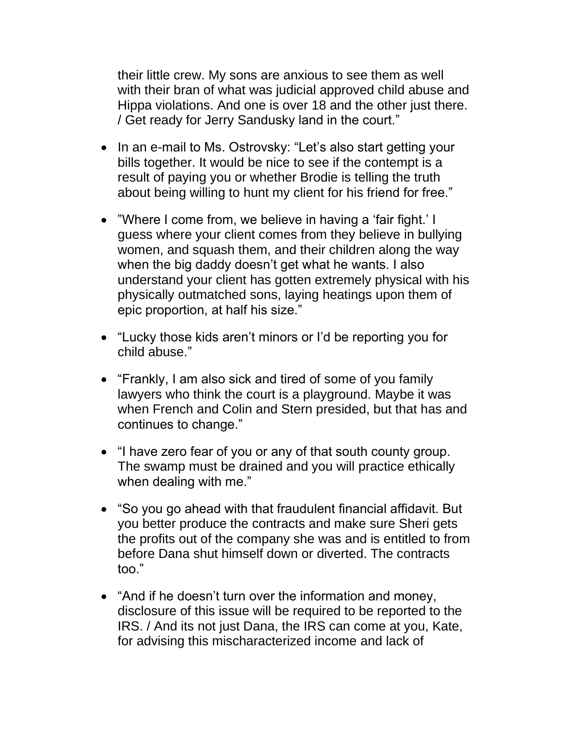their little crew. My sons are anxious to see them as well with their bran of what was judicial approved child abuse and Hippa violations. And one is over 18 and the other just there. / Get ready for Jerry Sandusky land in the court."

- • In an e-mail to Ms. Ostrovsky: "Let's also start getting your bills together. It would be nice to see if the contempt is a result of paying you or whether Brodie is telling the truth about being willing to hunt my client for his friend for free."
- • "Where I come from, we believe in having a 'fair fight.' I guess where your client comes from they believe in bullying women, and squash them, and their children along the way when the big daddy doesn't get what he wants. I also understand your client has gotten extremely physical with his physically outmatched sons, laying heatings upon them of epic proportion, at half his size."
- • "Lucky those kids aren't minors or I'd be reporting you for child abuse."
- • "Frankly, I am also sick and tired of some of you family lawyers who think the court is a playground. Maybe it was when French and Colin and Stern presided, but that has and continues to change."
- • "I have zero fear of you or any of that south county group. The swamp must be drained and you will practice ethically when dealing with me."
- • "So you go ahead with that fraudulent financial affidavit. But you better produce the contracts and make sure Sheri gets the profits out of the company she was and is entitled to from before Dana shut himself down or diverted. The contracts too."
- • "And if he doesn't turn over the information and money, disclosure of this issue will be required to be reported to the IRS. / And its not just Dana, the IRS can come at you, Kate, for advising this mischaracterized income and lack of